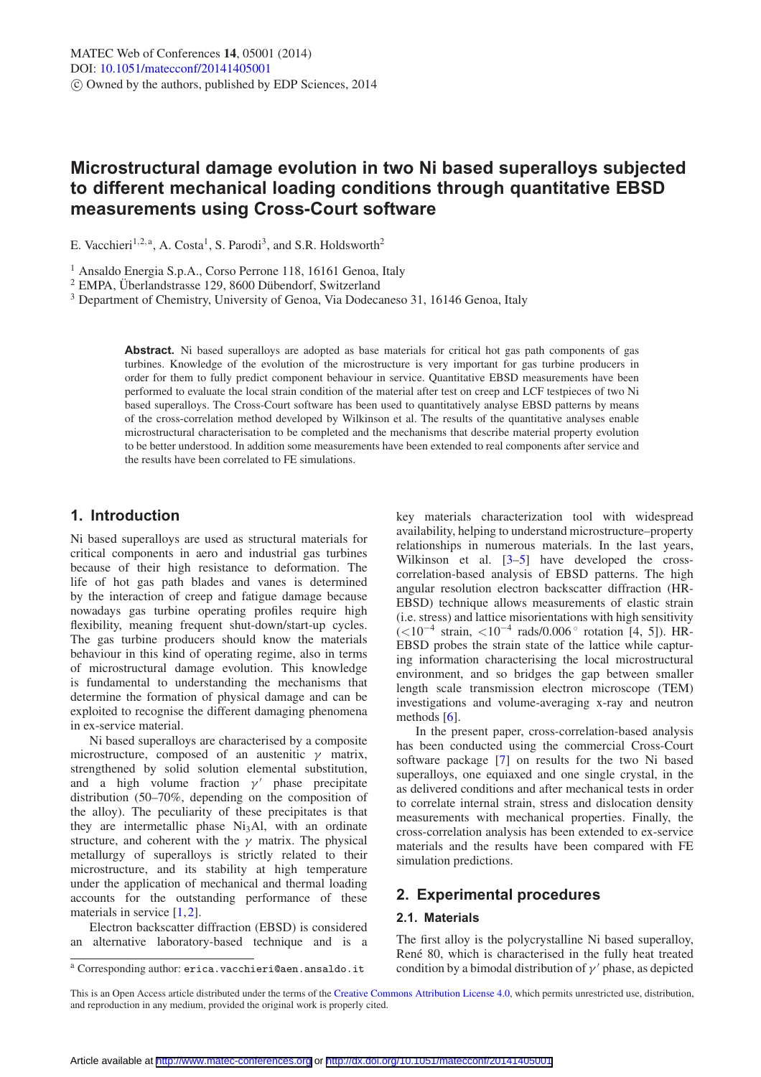# **Microstructural damage evolution in two Ni based superalloys subjected to different mechanical loading conditions through quantitative EBSD measurements using Cross-Court software**

E. Vacchieri<sup>1,2,a</sup>, A. Costa<sup>1</sup>, S. Parodi<sup>3</sup>, and S.R. Holdsworth<sup>2</sup>

<sup>1</sup> Ansaldo Energia S.p.A., Corso Perrone 118, 16161 Genoa, Italy  $^{2}$  EMPA, Überlandstrasse 129, 8600 Dübendorf, Switzerland

<sup>3</sup> Department of Chemistry, University of Genoa, Via Dodecaneso 31, 16146 Genoa, Italy

**Abstract.** Ni based superalloys are adopted as base materials for critical hot gas path components of gas turbines. Knowledge of the evolution of the microstructure is very important for gas turbine producers in order for them to fully predict component behaviour in service. Quantitative EBSD measurements have been performed to evaluate the local strain condition of the material after test on creep and LCF testpieces of two Ni based superalloys. The Cross-Court software has been used to quantitatively analyse EBSD patterns by means of the cross-correlation method developed by Wilkinson et al. The results of the quantitative analyses enable microstructural characterisation to be completed and the mechanisms that describe material property evolution to be better understood. In addition some measurements have been extended to real components after service and the results have been correlated to FE simulations.

# **1. Introduction**

Ni based superalloys are used as structural materials for critical components in aero and industrial gas turbines because of their high resistance to deformation. The life of hot gas path blades and vanes is determined by the interaction of creep and fatigue damage because nowadays gas turbine operating profiles require high flexibility, meaning frequent shut-down/start-up cycles. The gas turbine producers should know the materials behaviour in this kind of operating regime, also in terms of microstructural damage evolution. This knowledge is fundamental to understanding the mechanisms that determine the formation of physical damage and can be exploited to recognise the different damaging phenomena in ex-service material.

Ni based superalloys are characterised by a composite microstructure, composed of an austenitic  $\gamma$  matrix, strengthened by solid solution elemental substitution, and a high volume fraction  $\gamma'$  phase precipitate distribution (50–70%, depending on the composition of the alloy). The peculiarity of these precipitates is that they are intermetallic phase  $Ni<sub>3</sub>Al$ , with an ordinate structure, and coherent with the  $\gamma$  matrix. The physical metallurgy of superalloys is strictly related to their microstructure, and its stability at high temperature under the application of mechanical and thermal loading accounts for the outstanding performance of these materials in service [\[1](#page-5-0),[2\]](#page-5-1).

Electron backscatter diffraction (EBSD) is considered an alternative laboratory-based technique and is a key materials characterization tool with widespread availability, helping to understand microstructure–property relationships in numerous materials. In the last years, Wilkinson et al. [\[3](#page-5-2)[–5\]](#page-5-3) have developed the crosscorrelation-based analysis of EBSD patterns. The high angular resolution electron backscatter diffraction (HR-EBSD) technique allows measurements of elastic strain (i.e. stress) and lattice misorientations with high sensitivity (<10−<sup>4</sup> strain, <10−<sup>4</sup> rads/0.006 ◦ rotation [4, 5]). HR-EBSD probes the strain state of the lattice while capturing information characterising the local microstructural environment, and so bridges the gap between smaller length scale transmission electron microscope (TEM) investigations and volume-averaging x-ray and neutron methods [\[6\]](#page-5-4).

In the present paper, cross-correlation-based analysis has been conducted using the commercial Cross-Court software package [\[7](#page-5-5)] on results for the two Ni based superalloys, one equiaxed and one single crystal, in the as delivered conditions and after mechanical tests in order to correlate internal strain, stress and dislocation density measurements with mechanical properties. Finally, the cross-correlation analysis has been extended to ex-service materials and the results have been compared with FE simulation predictions.

# **2. Experimental procedures**

# **2.1. Materials**

The first alloy is the polycrystalline Ni based superalloy, René 80, which is characterised in the fully heat treated condition by a bimodal distribution of  $\gamma'$  phase, as depicted

<sup>a</sup> Corresponding author: erica.vacchieri@aen.ansaldo.it

This is an Open Access article distributed under the terms of the [Creative Commons Attribution License 4.0,](http://creativecommons.org/licenses/by/4.0/) which permits unrestricted use, distribution, and reproduction in any medium, provided the original work is properly cited.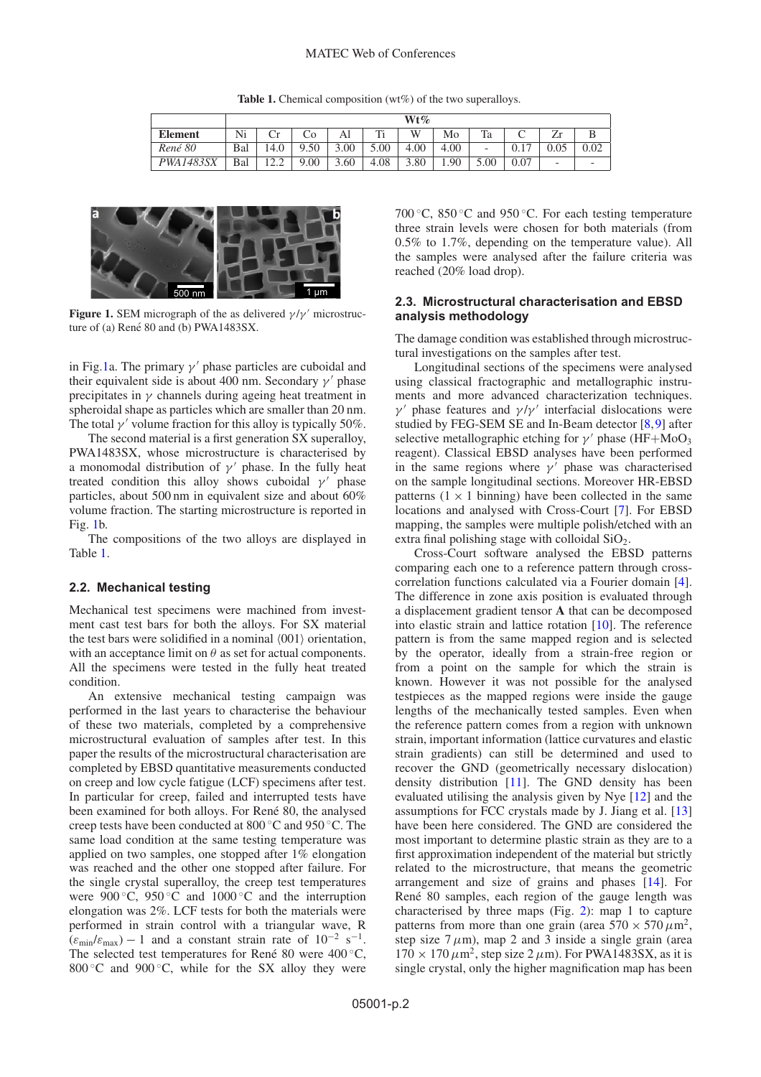#### MATEC Web of Conferences

**Table 1.** Chemical composition (wt%) of the two superalloys.

<span id="page-1-1"></span>

|                  | $Wt\%$ |          |      |      |      |      |      |                          |                        |         |                          |
|------------------|--------|----------|------|------|------|------|------|--------------------------|------------------------|---------|--------------------------|
| <b>Element</b>   | Ni     |          | Ċ٥   | Al   | Ti   | W    | Mo   | Ta                       |                        | ⇁<br>Ζr |                          |
| René 80          | Bal    | 14.0     | .50  | 3.00 | 5.00 | 4.00 | 4.00 | $\overline{\phantom{a}}$ | $\overline{a}$<br>v. i | 0.05    | 0.02                     |
| <i>PWA1483SX</i> | Bal    | $\ldots$ | 9.00 | 3.60 | 4.08 | 3.80 | 1.90 | 5.00                     | 0.07                   | -       | $\overline{\phantom{0}}$ |

<span id="page-1-0"></span>

**Figure 1.** SEM micrograph of the as delivered  $\gamma/\gamma'$  microstructure of (a) René  $80$  and (b) PWA1483SX.

in Fig[.1a](#page-1-0). The primary  $\gamma'$  phase particles are cuboidal and their equivalent side is about 400 nm. Secondary  $\gamma'$  phase precipitates in  $\gamma$  channels during ageing heat treatment in spheroidal shape as particles which are smaller than 20 nm. The total  $\nu'$  volume fraction for this alloy is typically 50%.

The second material is a first generation SX superalloy, PWA1483SX, whose microstructure is characterised by a monomodal distribution of  $\gamma'$  phase. In the fully heat treated condition this alloy shows cuboidal  $\gamma'$  phase particles, about 500 nm in equivalent size and about 60% volume fraction. The starting microstructure is reported in Fig. [1b](#page-1-0).

The compositions of the two alloys are displayed in Table [1.](#page-1-1)

#### **2.2. Mechanical testing**

Mechanical test specimens were machined from investment cast test bars for both the alloys. For SX material the test bars were solidified in a nominal  $(001)$  orientation, with an acceptance limit on  $\theta$  as set for actual components. All the specimens were tested in the fully heat treated condition.

An extensive mechanical testing campaign was performed in the last years to characterise the behaviour of these two materials, completed by a comprehensive microstructural evaluation of samples after test. In this paper the results of the microstructural characterisation are completed by EBSD quantitative measurements conducted on creep and low cycle fatigue (LCF) specimens after test. In particular for creep, failed and interrupted tests have been examined for both alloys. For René 80, the analysed creep tests have been conducted at 800 ◦C and 950 ◦C. The same load condition at the same testing temperature was applied on two samples, one stopped after 1% elongation was reached and the other one stopped after failure. For the single crystal superalloy, the creep test temperatures were  $900\degree C$ ,  $950\degree \degree C$  and  $1000\degree C$  and the interruption elongation was 2%. LCF tests for both the materials were performed in strain control with a triangular wave, R  $(\varepsilon_{\min}/\varepsilon_{\max})$  – 1 and a constant strain rate of 10<sup>-2</sup> s<sup>-1</sup>. The selected test temperatures for René 80 were  $400\,^{\circ}\text{C}$ , 800 °C and 900 °C, while for the SX alloy they were 700 °C, 850 °C and 950 °C. For each testing temperature three strain levels were chosen for both materials (from 0.5% to 1.7%, depending on the temperature value). All the samples were analysed after the failure criteria was reached (20% load drop).

### **2.3. Microstructural characterisation and EBSD analysis methodology**

The damage condition was established through microstructural investigations on the samples after test.

Longitudinal sections of the specimens were analysed using classical fractographic and metallographic instruments and more advanced characterization techniques.  $\gamma'$  phase features and  $\gamma/\gamma'$  interfacial dislocations were studied by FEG-SEM SE and In-Beam detector [\[8,](#page-5-6)[9](#page-5-7)] after selective metallographic etching for  $\gamma'$  phase (HF+MoO<sub>3</sub> reagent). Classical EBSD analyses have been performed in the same regions where  $\gamma'$  phase was characterised on the sample longitudinal sections. Moreover HR-EBSD patterns  $(1 \times 1)$  binning) have been collected in the same locations and analysed with Cross-Court [\[7](#page-5-5)]. For EBSD mapping, the samples were multiple polish/etched with an extra final polishing stage with colloidal  $SiO<sub>2</sub>$ .

Cross-Court software analysed the EBSD patterns comparing each one to a reference pattern through crosscorrelation functions calculated via a Fourier domain [\[4](#page-5-8)]. The difference in zone axis position is evaluated through a displacement gradient tensor **A** that can be decomposed into elastic strain and lattice rotation [\[10\]](#page-5-9). The reference pattern is from the same mapped region and is selected by the operator, ideally from a strain-free region or from a point on the sample for which the strain is known. However it was not possible for the analysed testpieces as the mapped regions were inside the gauge lengths of the mechanically tested samples. Even when the reference pattern comes from a region with unknown strain, important information (lattice curvatures and elastic strain gradients) can still be determined and used to recover the GND (geometrically necessary dislocation) density distribution [\[11](#page-5-10)]. The GND density has been evaluated utilising the analysis given by Nye [\[12\]](#page-5-11) and the assumptions for FCC crystals made by J. Jiang et al. [\[13\]](#page-5-12) have been here considered. The GND are considered the most important to determine plastic strain as they are to a first approximation independent of the material but strictly related to the microstructure, that means the geometric arrangement and size of grains and phases [\[14\]](#page-5-13). For René 80 samples, each region of the gauge length was characterised by three maps (Fig. [2\)](#page-2-0): map 1 to capture patterns from more than one grain (area  $570 \times 570 \,\mu m^2$ , step size  $7 \mu m$ ), map 2 and 3 inside a single grain (area  $170 \times 170 \,\mu\text{m}^2$ , step size  $2 \,\mu\text{m}$ ). For PWA1483SX, as it is single crystal, only the higher magnification map has been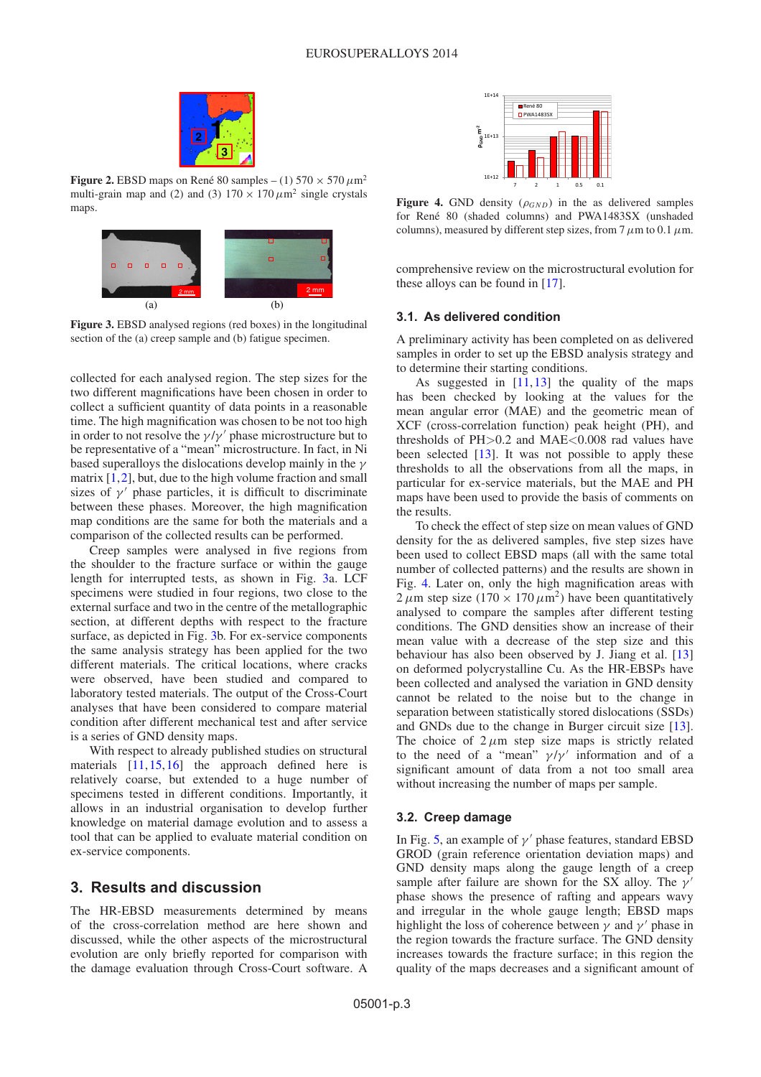<span id="page-2-0"></span>

**Figure 2.** EBSD maps on René 80 samples – (1)  $570 \times 570 \mu m^2$ multi-grain map and (2) and (3)  $170 \times 170 \mu m^2$  single crystals maps.

<span id="page-2-1"></span>

**Figure 3.** EBSD analysed regions (red boxes) in the longitudinal section of the (a) creep sample and (b) fatigue specimen.

collected for each analysed region. The step sizes for the two different magnifications have been chosen in order to collect a sufficient quantity of data points in a reasonable time. The high magnification was chosen to be not too high in order to not resolve the  $\gamma/\gamma'$  phase microstructure but to be representative of a "mean" microstructure. In fact, in Ni based superalloys the dislocations develop mainly in the  $\gamma$ matrix  $[1,2]$  $[1,2]$  $[1,2]$ , but, due to the high volume fraction and small sizes of  $\gamma'$  phase particles, it is difficult to discriminate between these phases. Moreover, the high magnification map conditions are the same for both the materials and a comparison of the collected results can be performed.

Creep samples were analysed in five regions from the shoulder to the fracture surface or within the gauge length for interrupted tests, as shown in Fig. [3a](#page-2-1). LCF specimens were studied in four regions, two close to the external surface and two in the centre of the metallographic section, at different depths with respect to the fracture surface, as depicted in Fig. [3b](#page-2-1). For ex-service components the same analysis strategy has been applied for the two different materials. The critical locations, where cracks were observed, have been studied and compared to laboratory tested materials. The output of the Cross-Court analyses that have been considered to compare material condition after different mechanical test and after service is a series of GND density maps.

With respect to already published studies on structural materials  $[11, 15, 16]$  $[11, 15, 16]$  $[11, 15, 16]$  $[11, 15, 16]$  $[11, 15, 16]$  $[11, 15, 16]$  the approach defined here is relatively coarse, but extended to a huge number of specimens tested in different conditions. Importantly, it allows in an industrial organisation to develop further knowledge on material damage evolution and to assess a tool that can be applied to evaluate material condition on ex-service components.

# **3. Results and discussion**

The HR-EBSD measurements determined by means of the cross-correlation method are here shown and discussed, while the other aspects of the microstructural evolution are only briefly reported for comparison with the damage evaluation through Cross-Court software. A



<span id="page-2-2"></span>**Figure 4.** GND density  $(\rho_{GND})$  in the as delivered samples for René 80 (shaded columns) and PWA1483SX (unshaded columns), measured by different step sizes, from 7  $\mu$ m to 0.1  $\mu$ m.

comprehensive review on the microstructural evolution for these alloys can be found in [\[17\]](#page-5-16).

### **3.1. As delivered condition**

A preliminary activity has been completed on as delivered samples in order to set up the EBSD analysis strategy and to determine their starting conditions.

As suggested in  $[11, 13]$  $[11, 13]$  $[11, 13]$  the quality of the maps has been checked by looking at the values for the mean angular error (MAE) and the geometric mean of XCF (cross-correlation function) peak height (PH), and thresholds of  $PH > 0.2$  and  $MAE < 0.008$  rad values have been selected [\[13](#page-5-12)]. It was not possible to apply these thresholds to all the observations from all the maps, in particular for ex-service materials, but the MAE and PH maps have been used to provide the basis of comments on the results.

To check the effect of step size on mean values of GND density for the as delivered samples, five step sizes have been used to collect EBSD maps (all with the same total number of collected patterns) and the results are shown in Fig. [4.](#page-2-2) Later on, only the high magnification areas with  $2 \mu$ m step size (170 × 170  $\mu$ m<sup>2</sup>) have been quantitatively analysed to compare the samples after different testing conditions. The GND densities show an increase of their mean value with a decrease of the step size and this behaviour has also been observed by J. Jiang et al. [\[13\]](#page-5-12) on deformed polycrystalline Cu. As the HR-EBSPs have been collected and analysed the variation in GND density cannot be related to the noise but to the change in separation between statistically stored dislocations (SSDs) and GNDs due to the change in Burger circuit size [\[13](#page-5-12)]. The choice of  $2 \mu m$  step size maps is strictly related to the need of a "mean"  $\gamma/\gamma'$  information and of a significant amount of data from a not too small area without increasing the number of maps per sample.

## **3.2. Creep damage**

In Fig. [5,](#page-3-0) an example of  $\gamma'$  phase features, standard EBSD GROD (grain reference orientation deviation maps) and GND density maps along the gauge length of a creep sample after failure are shown for the SX alloy. The  $\gamma'$ phase shows the presence of rafting and appears wavy and irregular in the whole gauge length; EBSD maps highlight the loss of coherence between  $\gamma$  and  $\gamma'$  phase in the region towards the fracture surface. The GND density increases towards the fracture surface; in this region the quality of the maps decreases and a significant amount of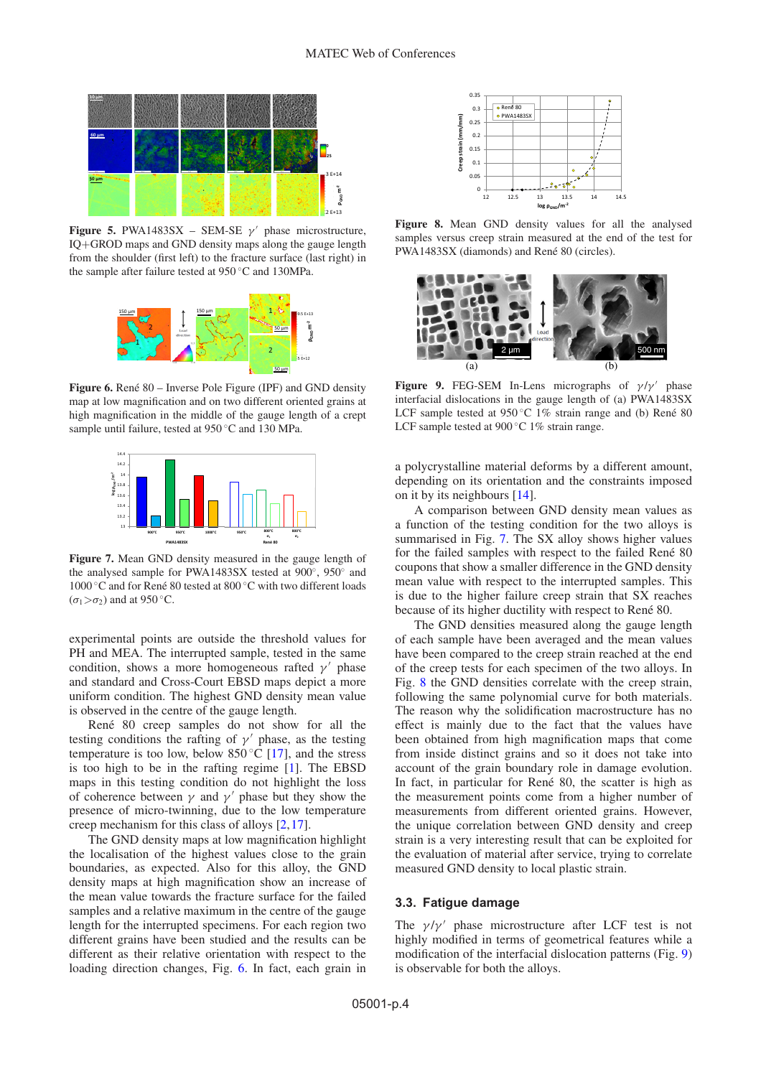<span id="page-3-0"></span>

<span id="page-3-1"></span>**Figure 5.** PWA1483SX – SEM-SE  $\gamma'$  phase microstructure, IQ+GROD maps and GND density maps along the gauge length from the shoulder (first left) to the fracture surface (last right) in the sample after failure tested at 950 ◦C and 130MPa.



<span id="page-3-2"></span>**Figure 6.** René 80 – Inverse Pole Figure (IPF) and GND density map at low magnification and on two different oriented grains at high magnification in the middle of the gauge length of a crept sample until failure, tested at 950 ◦C and 130 MPa.



**Figure 7.** Mean GND density measured in the gauge length of the analysed sample for PWA1483SX tested at 900◦, 950◦ and 1000 °C and for René 80 tested at 800 °C with two different loads  $(\sigma_1 > \sigma_2)$  and at 950 °C.

experimental points are outside the threshold values for PH and MEA. The interrupted sample, tested in the same condition, shows a more homogeneous rafted  $\gamma'$  phase and standard and Cross-Court EBSD maps depict a more uniform condition. The highest GND density mean value is observed in the centre of the gauge length.

René 80 creep samples do not show for all the testing conditions the rafting of  $\gamma'$  phase, as the testing temperature is too low, below  $850\degree\text{C}$  [\[17\]](#page-5-16), and the stress is too high to be in the rafting regime [\[1\]](#page-5-0). The EBSD maps in this testing condition do not highlight the loss of coherence between  $\gamma$  and  $\gamma'$  phase but they show the presence of micro-twinning, due to the low temperature creep mechanism for this class of alloys [\[2](#page-5-1),[17\]](#page-5-16).

The GND density maps at low magnification highlight the localisation of the highest values close to the grain boundaries, as expected. Also for this alloy, the GND density maps at high magnification show an increase of the mean value towards the fracture surface for the failed samples and a relative maximum in the centre of the gauge length for the interrupted specimens. For each region two different grains have been studied and the results can be different as their relative orientation with respect to the loading direction changes, Fig. [6.](#page-3-1) In fact, each grain in

<span id="page-3-3"></span>

<span id="page-3-4"></span>**Figure 8.** Mean GND density values for all the analysed samples versus creep strain measured at the end of the test for PWA1483SX (diamonds) and René 80 (circles).



**Figure 9.** FEG-SEM In-Lens micrographs of  $\gamma/\gamma'$  phase interfacial dislocations in the gauge length of (a) PWA1483SX LCF sample tested at  $950^{\circ}$ C 1% strain range and (b) René 80 LCF sample tested at 900 ℃ 1% strain range.

a polycrystalline material deforms by a different amount, depending on its orientation and the constraints imposed on it by its neighbours [\[14\]](#page-5-13).

A comparison between GND density mean values as a function of the testing condition for the two alloys is summarised in Fig. [7.](#page-3-2) The SX alloy shows higher values for the failed samples with respect to the failed René  $80$ coupons that show a smaller difference in the GND density mean value with respect to the interrupted samples. This is due to the higher failure creep strain that SX reaches because of its higher ductility with respect to René 80.

The GND densities measured along the gauge length of each sample have been averaged and the mean values have been compared to the creep strain reached at the end of the creep tests for each specimen of the two alloys. In Fig. [8](#page-3-3) the GND densities correlate with the creep strain, following the same polynomial curve for both materials. The reason why the solidification macrostructure has no effect is mainly due to the fact that the values have been obtained from high magnification maps that come from inside distinct grains and so it does not take into account of the grain boundary role in damage evolution. In fact, in particular for René 80, the scatter is high as the measurement points come from a higher number of measurements from different oriented grains. However, the unique correlation between GND density and creep strain is a very interesting result that can be exploited for the evaluation of material after service, trying to correlate measured GND density to local plastic strain.

### **3.3. Fatigue damage**

The  $\gamma/\gamma'$  phase microstructure after LCF test is not highly modified in terms of geometrical features while a modification of the interfacial dislocation patterns (Fig. [9\)](#page-3-4) is observable for both the alloys.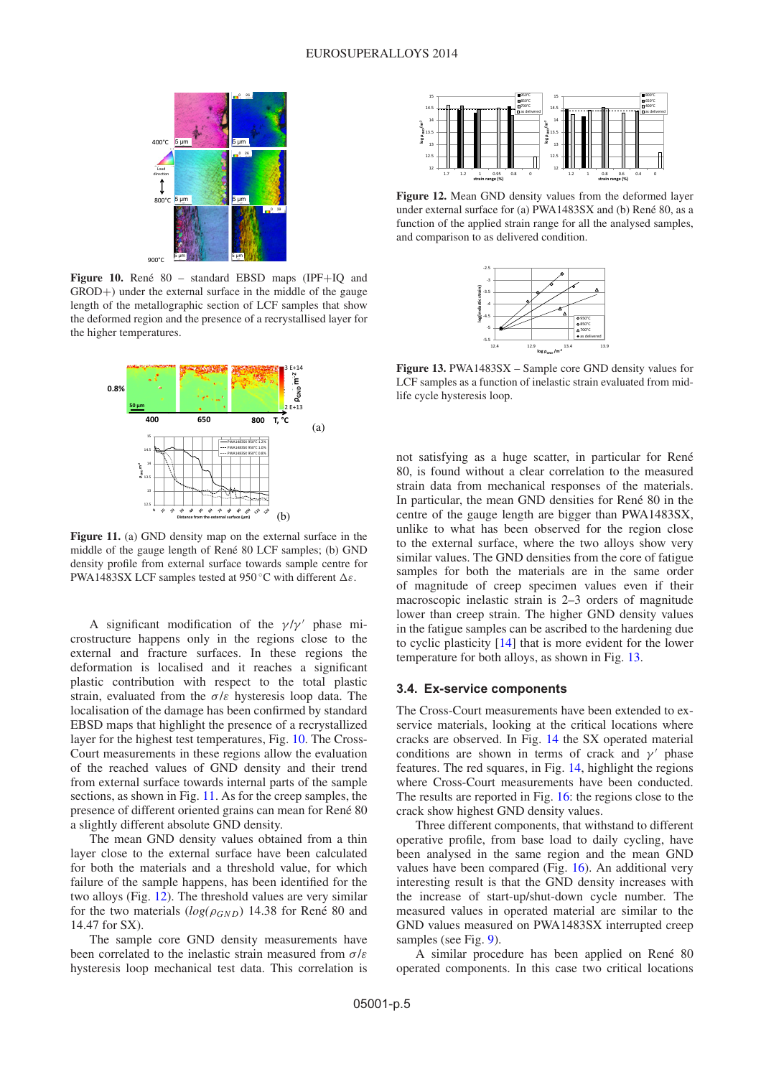<span id="page-4-0"></span>

Figure 10. René 80 - standard EBSD maps (IPF+IQ and GROD+) under the external surface in the middle of the gauge length of the metallographic section of LCF samples that show the deformed region and the presence of a recrystallised layer for the higher temperatures.

<span id="page-4-1"></span>

**Figure 11.** (a) GND density map on the external surface in the middle of the gauge length of René 80 LCF samples; (b) GND density profile from external surface towards sample centre for PWA1483SX LCF samples tested at 950 °C with different  $\Delta \varepsilon$ .

A significant modification of the  $\gamma/\gamma'$  phase microstructure happens only in the regions close to the external and fracture surfaces. In these regions the deformation is localised and it reaches a significant plastic contribution with respect to the total plastic strain, evaluated from the  $\sigma/\varepsilon$  hysteresis loop data. The localisation of the damage has been confirmed by standard EBSD maps that highlight the presence of a recrystallized layer for the highest test temperatures, Fig. [10.](#page-4-0) The Cross-Court measurements in these regions allow the evaluation of the reached values of GND density and their trend from external surface towards internal parts of the sample sections, as shown in Fig. [11.](#page-4-1) As for the creep samples, the presence of different oriented grains can mean for René 80 a slightly different absolute GND density.

The mean GND density values obtained from a thin layer close to the external surface have been calculated for both the materials and a threshold value, for which failure of the sample happens, has been identified for the two alloys (Fig. [12\)](#page-4-2). The threshold values are very similar for the two materials  $(log(\rho_{GND})$  14.38 for René 80 and 14.47 for SX).

The sample core GND density measurements have been correlated to the inelastic strain measured from  $\sigma/\varepsilon$ hysteresis loop mechanical test data. This correlation is

<span id="page-4-2"></span>

<span id="page-4-3"></span>**Figure 12.** Mean GND density values from the deformed layer under external surface for (a) PWA1483SX and (b) René 80, as a function of the applied strain range for all the analysed samples, and comparison to as delivered condition.



**Figure 13.** PWA1483SX – Sample core GND density values for LCF samples as a function of inelastic strain evaluated from midlife cycle hysteresis loop.

not satisfying as a huge scatter, in particular for René 80, is found without a clear correlation to the measured strain data from mechanical responses of the materials. In particular, the mean GND densities for René 80 in the centre of the gauge length are bigger than PWA1483SX, unlike to what has been observed for the region close to the external surface, where the two alloys show very similar values. The GND densities from the core of fatigue samples for both the materials are in the same order of magnitude of creep specimen values even if their macroscopic inelastic strain is 2–3 orders of magnitude lower than creep strain. The higher GND density values in the fatigue samples can be ascribed to the hardening due to cyclic plasticity [\[14](#page-5-13)] that is more evident for the lower temperature for both alloys, as shown in Fig. [13.](#page-4-3)

#### **3.4. Ex-service components**

The Cross-Court measurements have been extended to exservice materials, looking at the critical locations where cracks are observed. In Fig. [14](#page-5-17) the SX operated material conditions are shown in terms of crack and  $\gamma'$  phase features. The red squares, in Fig. [14,](#page-5-17) highlight the regions where Cross-Court measurements have been conducted. The results are reported in Fig. [16:](#page-5-18) the regions close to the crack show highest GND density values.

Three different components, that withstand to different operative profile, from base load to daily cycling, have been analysed in the same region and the mean GND values have been compared (Fig. [16\)](#page-5-18). An additional very interesting result is that the GND density increases with the increase of start-up/shut-down cycle number. The measured values in operated material are similar to the GND values measured on PWA1483SX interrupted creep samples (see Fig. [9\)](#page-3-4).

A similar procedure has been applied on René 80 operated components. In this case two critical locations